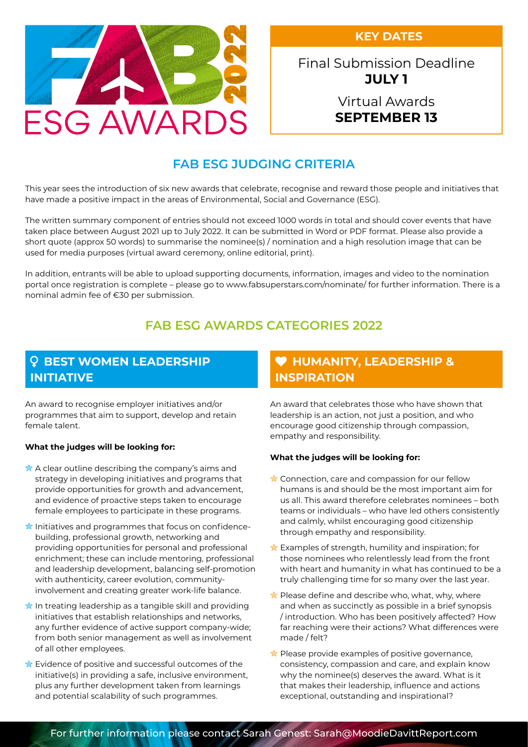**KEY DATES**



Final Submission Deadline **JULY 1**

## Virtual Awards **SEPTEMBER 13**

# **FAB ESG JUDGING CRITERIA**

This year sees the introduction of six new awards that celebrate, recognise and reward those people and initiatives that have made a positive impact in the areas of Environmental, Social and Governance (ESG).

The written summary component of entries should not exceed 1000 words in total and should cover events that have taken place between August 2021 up to July 2022. It can be submitted in Word or PDF format. Please also provide a short quote (approx 50 words) to summarise the nominee(s) / nomination and a high resolution image that can be used for media purposes (virtual award ceremony, online editorial, print).

In addition, entrants will be able to upload supporting documents, information, images and video to the nomination portal once registration is complete – please go to www.fabsuperstars.com/nominate/ for further information. There is a nominal admin fee of €30 per submission.

# **FAB ESG AWARDS CATEGORIES 2022**

# **Q BEST WOMEN LEADERSHIP INITIATIVE**

An award to recognise employer initiatives and/or programmes that aim to support, develop and retain female talent.

#### **What the judges will be looking for:**

- $\hat{\mathbb{X}}$  A clear outline describing the company's aims and strategy in developing initiatives and programs that provide opportunities for growth and advancement, and evidence of proactive steps taken to encourage female employees to participate in these programs.
- $\frac{1}{\sqrt{2}}$  Initiatives and programmes that focus on confidencebuilding, professional growth, networking and providing opportunities for personal and professional enrichment; these can include mentoring, professional and leadership development, balancing self-promotion with authenticity, career evolution, communityinvolvement and creating greater work-life balance.
- $\hat{\mathbb{R}}$  In treating leadership as a tangible skill and providing initiatives that establish relationships and networks, any further evidence of active support company-wide; from both senior management as well as involvement of all other employees.
- $\frac{1}{\mathbb{R}}$  Evidence of positive and successful outcomes of the initiative(s) in providing a safe, inclusive environment, plus any further development taken from learnings and potential scalability of such programmes.

### **HUMANITY, LEADERSHIP & INSPIRATION**

An award that celebrates those who have shown that leadership is an action, not just a position, and who encourage good citizenship through compassion, empathy and responsibility.

#### **What the judges will be looking for:**

- $\frac{1}{N}$  Connection, care and compassion for our fellow humans is and should be the most important aim for us all. This award therefore celebrates nominees – both teams or individuals – who have led others consistently and calmly, whilst encouraging good citizenship through empathy and responsibility.
- $\hat{\mathbf{x}}$  Examples of strength, humility and inspiration; for those nominees who relentlessly lead from the front with heart and humanity in what has continued to be a truly challenging time for so many over the last year.
- $\hat{\mathbf{z}}$  Please define and describe who, what, why, where and when as succinctly as possible in a brief synopsis / introduction. Who has been positively affected? How far reaching were their actions? What differences were made / felt?
- $\frac{1}{\sqrt{2}}$  Please provide examples of positive governance, consistency, compassion and care, and explain know why the nominee(s) deserves the award. What is it that makes their leadership, influence and actions exceptional, outstanding and inspirational?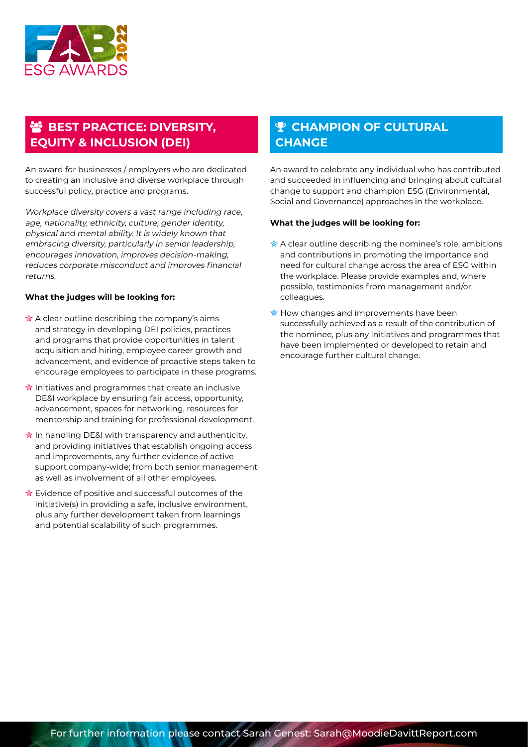

# **BEST PRACTICE: DIVERSITY, EQUITY & INCLUSION (DEI)**

An award for businesses / employers who are dedicated to creating an inclusive and diverse workplace through successful policy, practice and programs.

Workplace diversity covers a vast range including race, age, nationality, ethnicity, culture, gender identity, physical and mental ability. It is widely known that embracing diversity, particularly in senior leadership, encourages innovation, improves decision-making, reduces corporate misconduct and improves financial returns.

#### **What the judges will be looking for:**

- $\hat{\mathbb{R}}$  A clear outline describing the company's aims and strategy in developing DEI policies, practices and programs that provide opportunities in talent acquisition and hiring, employee career growth and advancement, and evidence of proactive steps taken to encourage employees to participate in these programs.
- $\frac{1}{N}$  Initiatives and programmes that create an inclusive DE&I workplace by ensuring fair access, opportunity, advancement, spaces for networking, resources for mentorship and training for professional development.
- $\hat{\mathbb{R}}$  In handling DE&I with transparency and authenticity, and providing initiatives that establish ongoing access and improvements, any further evidence of active support company-wide; from both senior management as well as involvement of all other employees.
- $\hat{\mathbb{R}}$  Evidence of positive and successful outcomes of the initiative(s) in providing a safe, inclusive environment, plus any further development taken from learnings and potential scalability of such programmes.

# **P CHAMPION OF CULTURAL CHANGE**

An award to celebrate any individual who has contributed and succeeded in influencing and bringing about cultural change to support and champion ESG (Environmental, Social and Governance) approaches in the workplace.

#### **What the judges will be looking for:**

- $\hat{\mathbb{A}}$  A clear outline describing the nominee's role, ambitions and contributions in promoting the importance and need for cultural change across the area of ESG within the workplace. Please provide examples and, where possible, testimonies from management and/or colleagues.
- $\star$  How changes and improvements have been successfully achieved as a result of the contribution of the nominee, plus any initiatives and programmes that have been implemented or developed to retain and encourage further cultural change.